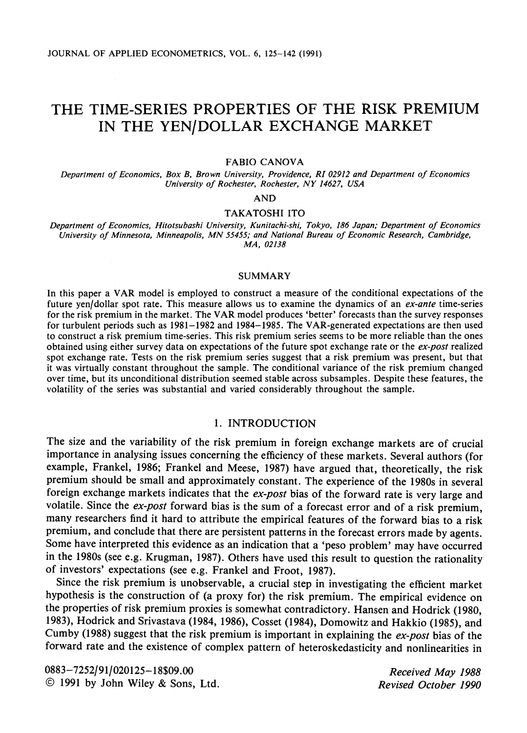# **THE TIME-SERIES PROPERTIES OF THE RISK PREMIUM IN THE YEN/DOLLAR EXCHANGE MARKET**

#### **FABIO CANOVA**

**Department of Economics, Box B, Brown University, Providence, RI 02912 and Department of Economics University of Rochester, Rochester, NY 14627, USA** 

#### **AND**

### **TAKATOSHI ITO**

**Department of Economics, Hitotsubashi University, Kunitachi-shi, Tokyo, 186 Japan; Department of Economics University of Minnesota, Minneapolis, MN 55455; and National Bureau of Economic Research, Cambridge, MA, 02138** 

#### **SUMMARY**

**In this paper a VAR model is employed to construct a measure of the conditional expectations of the future yen/dollar spot rate. This measure allows us to examine the dynamics of an ex-ante time-series for the risk premium in the market. The VAR model produces 'better' forecasts than the survey responses for turbulent periods such as 1981-1982 and 1984-1985. The VAR-generated expectations are then used**  to construct a risk premium time-series. This risk premium series seems to be more reliable than the ones **obtained using either survey data on expectations of the future spot exchange rate or the ex-post realized spot exchange rate. Tests on the risk premium series suggest that a risk premium was present, but that it was virtually constant throughout the sample. The conditional variance of the risk premium changed over time, but its unconditional distribution seemed stable across subsamples. Despite these features, the volatility of the series was substantial and varied considerably throughout the sample.** 

#### **1. INTRODUCTION**

**The size and the variability of the risk premium in foreign exchange markets are of crucial**  importance in analysing issues concerning the efficiency of these markets. Several authors (for **example, Frankel, 1986; Frankel and Meese, 1987) have argued that, theoretically, the risk premium should be small and approximately constant. The experience of the 1980s in several foreign exchange markets indicates that the ex-post bias of the forward rate is very large and volatile. Since the ex-post forward bias is the sum of a forecast error and of a risk premium, many researchers find it hard to attribute the empirical features of the forward bias to a risk premium, and conclude that there are persistent patterns in the forecast errors made by agents.**  Some have interpreted this evidence as an indication that a 'peso problem' may have occurred **in the 1980s (see e.g. Krugman, 1987). Others have used this result to question the rationality of investors' expectations (see e.g. Frankel and Froot, 1987).** 

**Since the risk premium is unobservable, a crucial step in investigating the efficient market hypothesis is the construction of (a proxy for) the risk premium. The empirical evidence on the properties of risk premium proxies is somewhat contradictory. Hansen and Hodrick (1980, 1983), Hodrick and Srivastava (1984, 1986), Cosset (1984), Domowitz and Hakkio (1985), and Cumby (1988) suggest that the risk premium is important in explaining the ex-post bias of the forward rate and the existence of complex pattern of heteroskedasticity and nonlinearities in** 

**0883-7252/91/020125-18\$09.00 Received May 1988 © 1991 by John Wiley & Sons, Ltd. Revised October 1990**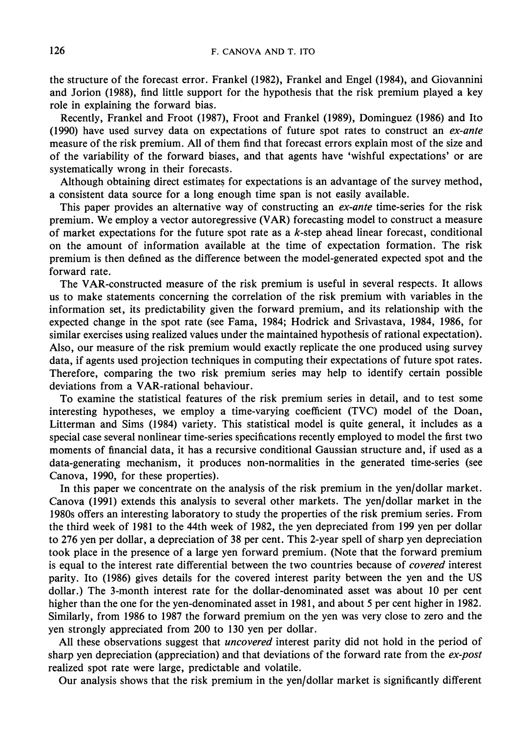**the structure of the forecast error. Frankel (1982), Frankel and Engel (1984), and Giovannini and Jorion (1988), find little support for the hypothesis that the risk premium played a key role in explaining the forward bias.** 

**Recently, Frankel and Froot (1987), Froot and Frankel (1989), Dominguez (1986) and Ito (1990) have used survey data on expectations of future spot rates to construct an ex-ante measure of the risk premium. All of them find that forecast errors explain most of the size and of the variability of the forward biases, and that agents have 'wishful expectations' or are systematically wrong in their forecasts.** 

**Although obtaining direct estimates for expectations is an advantage of the survey method, a consistent data source for a long enough time span is not easily available.** 

**This paper provides an alternative way of constructing an ex-ante time-series for the risk premium. We employ a vector autoregressive (VAR) forecasting model to construct a measure of market expectations for the future spot rate as a k-step ahead linear forecast, conditional on the amount of information available at the time of expectation formation. The risk premium is then defined as the difference between the model-generated expected spot and the forward rate.** 

**The VAR-constructed measure of the risk premium is useful in several respects. It allows us to make statements concerning the correlation of the risk premium with variables in the information set, its predictability given the forward premium, and its relationship with the expected change in the spot rate (see Fama, 1984; Hodrick and Srivastava, 1984, 1986, for similar exercises using realized values under the maintained hypothesis of rational expectation). Also, our measure of the risk premium would exactly replicate the one produced using survey data, if agents used projection techniques in computing their expectations of future spot rates. Therefore, comparing the two risk premium series may help to identify certain possible deviations from a VAR-rational behaviour.** 

**To examine the statistical features of the risk premium series in detail, and to test some interesting hypotheses, we employ a time-varying coefficient (TVC) model of the Doan, Litterman and Sims (1984) variety. This statistical model is quite general, it includes as a special case several nonlinear time-series specifications recently employed to model the first two moments of financial data, it has a recursive conditional Gaussian structure and, if used as a data-generating mechanism, it produces non-normalities in the generated time-series (see Canova, 1990, for these properties).** 

**In this paper we concentrate on the analysis of the risk premium in the yen/dollar market. Canova (1991) extends this analysis to several other markets. The yen/dollar market in the 1980s offers an interesting laboratory to study the properties of the risk premium series. From the third week of 1981 to the 44th week of 1982, the yen depreciated from 199 yen per dollar to 276 yen per dollar, a depreciation of 38 per cent. This 2-year spell of sharp yen depreciation took place in the presence of a large yen forward premium. (Note that the forward premium is equal to the interest rate differential between the two countries because of covered interest parity. Ito (1986) gives details for the covered interest parity between the yen and the US dollar.) The 3-month interest rate for the dollar-denominated asset was about 10 per cent higher than the one for the yen-denominated asset in 1981, and about 5 per cent higher in 1982. Similarly, from 1986 to 1987 the forward premium on the yen was very close to zero and the yen strongly appreciated from 200 to 130 yen per dollar.** 

**All these observations suggest that uncovered interest parity did not hold in the period of sharp yen depreciation (appreciation) and that deviations of the forward rate from the ex-post realized spot rate were large, predictable and volatile.** 

**Our analysis shows that the risk premium in the yen/dollar market is significantly different**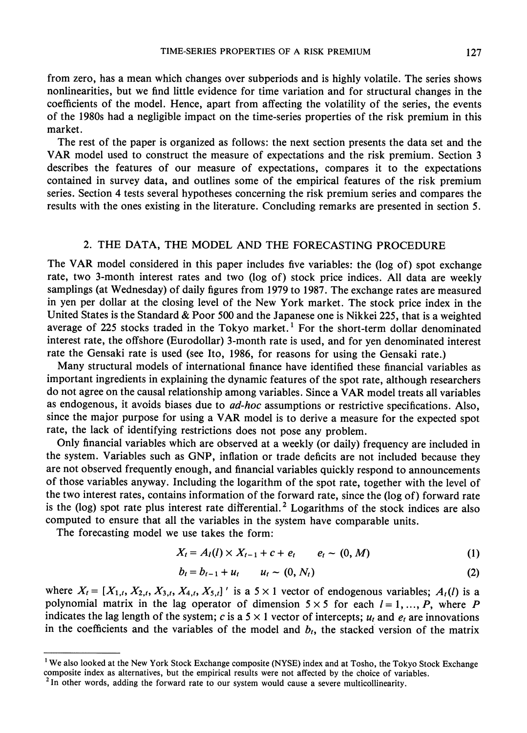**from zero, has a mean which changes over subperiods and is highly volatile. The series shows nonlinearities, but we find little evidence for time variation and for structural changes in the coefficients of the model. Hence, apart from affecting the volatility of the series, the events of the 1980s had a negligible impact on the time-series properties of the risk premium in this market.** 

**The rest of the paper is organized as follows: the next section presents the data set and the VAR model used to construct the measure of expectations and the risk premium. Section 3 describes the features of our measure of expectations, compares it to the expectations contained in survey data, and outlines some of the empirical features of the risk premium series. Section 4 tests several hypotheses concerning the risk premium series and compares the results with the ones existing in the literature. Concluding remarks are presented in section 5.** 

### **2. THE DATA, THE MODEL AND THE FORECASTING PROCEDURE**

**The VAR model considered in this paper includes five variables: the (log of) spot exchange rate, two 3-month interest rates and two (log of) stock price indices. All data are weekly samplings (at Wednesday) of daily figures from 1979 to 1987. The exchange rates are measured in yen per dollar at the closing level of the New York market. The stock price index in the United States is the Standard & Poor 500 and the Japanese one is Nikkei 225, that is a weighted average of 225 stocks traded in the Tokyo market.1 For the short-term dollar denominated interest rate, the offshore (Eurodollar) 3-month rate is used, and for yen denominated interest**  rate the Gensaki rate is used (see Ito, 1986, for reasons for using the Gensaki rate.)

**Many structural models of international finance have identified these financial variables as important ingredients in explaining the dynamic features of the spot rate, although researchers do not agree on the causal relationship among variables. Since a VAR model treats all variables as endogenous, it avoids biases due to ad-hoc assumptions or restrictive specifications. Also, since the major purpose for using a VAR model is to derive a measure for the expected spot rate, the lack of identifying restrictions does not pose any problem.** 

**Only financial variables which are observed at a weekly (or daily) frequency are included in the system. Variables such as GNP, inflation or trade deficits are not included because they are not observed frequently enough, and financial variables quickly respond to announcements of those variables anyway. Including the logarithm of the spot rate, together with the level of the two interest rates, contains information of the forward rate, since the (log of) forward rate**  is the (log) spot rate plus interest rate differential.<sup>2</sup> Logarithms of the stock indices are also **computed to ensure that all the variables in the system have comparable units.** 

**The forecasting model we use takes the form:** 

$$
X_t = A_t(l) \times X_{t-1} + c + e_t \qquad e_t \sim (0, M) \tag{1}
$$

$$
b_t = b_{t-1} + u_t \t u_t \sim (0, N_t)
$$
 (2)

where  $X_t = [X_{1,t}, X_{2,t}, X_{3,t}, X_{4,t}, X_{5,t}]'$  is a  $5 \times 1$  vector of endogenous variables;  $A_t(l)$  is a polynomial matrix in the lag operator of dimension  $5 \times 5$  for each  $l = 1, ..., P$ , where P indicates the lag length of the system; c is a  $5 \times 1$  vector of intercepts;  $u_t$  and  $e_t$  are innovations in the coefficients and the variables of the model and  $b_t$ , the stacked version of the matrix

**<sup>1</sup> We also looked at the New York Stock Exchange composite (NYSE) index and at Tosho, the Tokyo Stock Exchange composite index as alternatives, but the empirical results were not affected by the choice of variables.** 

**<sup>2</sup>In other words, adding the forward rate to our system would cause a severe multicollinearity.**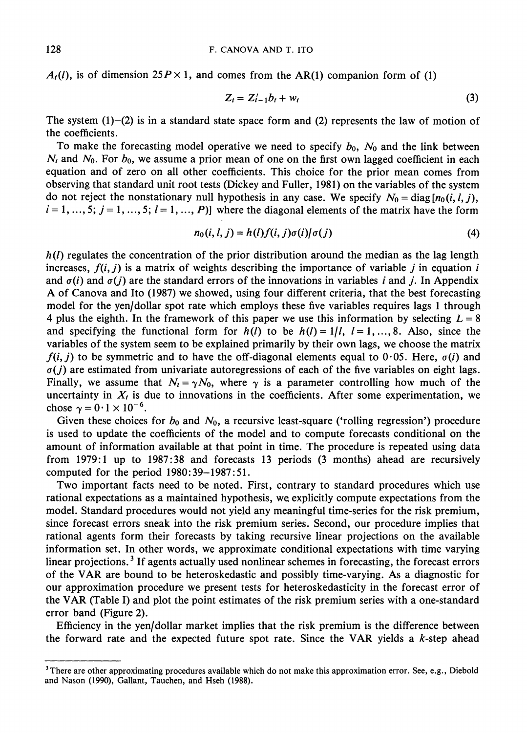$A_t(l)$ , is of dimension  $25P \times 1$ , and comes from the AR(1) companion form of (1)

$$
Z_t = Z'_{t-1}b_t + w_t \tag{3}
$$

The system  $(1)-(2)$  is in a standard state space form and  $(2)$  represents the law of motion of **the coefficients.** 

To make the forecasting model operative we need to specify  $b_0$ ,  $N_0$  and the link between  $N_t$  and  $N_0$ . For  $b_0$ , we assume a prior mean of one on the first own lagged coefficient in each **equation and of zero on all other coefficients. This choice for the prior mean comes from**  observing that standard unit root tests (Dickey and Fuller, 1981) on the variables of the system do not reject the nonstationary null hypothesis in any case. We specify  $N_0 = \text{diag}[n_0(i, l, j)]$ ,  $i = 1, ..., 5; j = 1, ..., 5; l = 1, ..., P$ ] where the diagonal elements of the matrix have the form

$$
n_0(i, l, j) = h(l)f(i, j)\sigma(i)/\sigma(j)
$$
\n(4)

**h(l) regulates the concentration of the prior distribution around the median as the lag length**  increases,  $f(i, j)$  is a matrix of weights describing the importance of variable  $j$  in equation  $i$ and  $\sigma(i)$  and  $\sigma(j)$  are the standard errors of the innovations in variables i and j. In Appendix **A of Canova and Ito (1987) we showed, using four different criteria, that the best forecasting model for the yen/dollar spot rate which employs these five variables requires lags 1 through**  4 plus the eighth. In the framework of this paper we use this information by selecting  $L = 8$ and specifying the functional form for  $h(l)$  to be  $h(l)=1/l$ ,  $l=1, ..., 8$ . Also, since the **variables of the system seem to be explained primarily by their own lags, we choose the matrix**   $f(i, j)$  to be symmetric and to have the off-diagonal elements equal to 0.05. Here,  $\sigma(i)$  and **a(j) are estimated from univariate autoregressions of each of the five variables on eight lags.**  Finally, we assume that  $N_t = \gamma N_0$ , where  $\gamma$  is a parameter controlling how much of the uncertainty in  $X_t$  is due to innovations in the coefficients. After some experimentation, we chose  $\gamma = 0.1 \times 10^{-6}$ .

Given these choices for  $b_0$  and  $N_0$ , a recursive least-square ('rolling regression') procedure **is used to update the coefficients of the model and to compute forecasts conditional on the amount of information available at that point in time. The procedure is repeated using data from 1979:1 up to 1987:38 and forecasts 13 periods (3 months) ahead are recursively computed for the period 1980:39-1987:51.** 

**Two important facts need to be noted. First, contrary to standard procedures which use rational expectations as a maintained hypothesis, we explicitly compute expectations from the model. Standard procedures would not yield any meaningful time-series for the risk premium, since forecast errors sneak into the risk premium series. Second, our procedure implies that rational agents form their forecasts by taking recursive linear projections on the available information set. In other words, we approximate conditional expectations with time varying linear projections.3 If agents actually used nonlinear schemes in forecasting, the forecast errors of the VAR are bound to be heteroskedastic and possibly time-varying. As a diagnostic for our approximation procedure we present tests for heteroskedasticity in the forecast error of the VAR (Table I) and plot the point estimates of the risk premium series with a one-standard error band (Figure 2).** 

**Efficiency in the yen/dollar market implies that the risk premium is the difference between the forward rate and the expected future spot rate. Since the VAR yields a k-step ahead** 

**128** 

**<sup>3</sup>There are other approximating procedures available which do not make this approximation error. See, e.g., Diebold and Nason (1990), Gallant, Tauchen, and Hseh (1988).**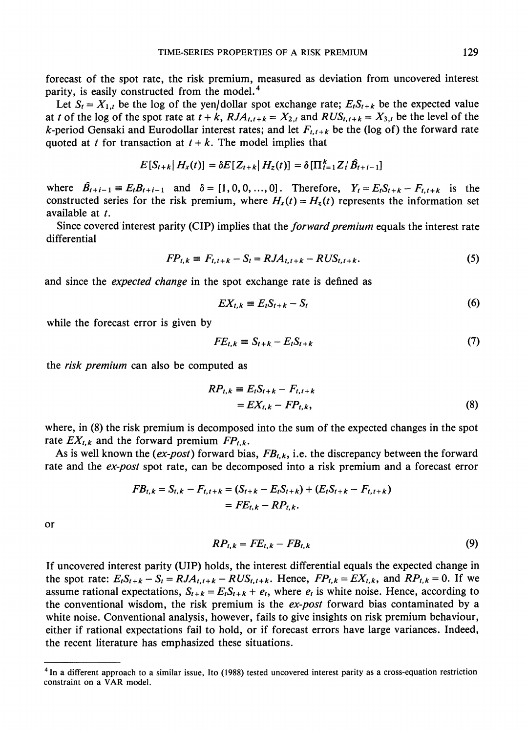**forecast of the spot rate, the risk premium, measured as deviation from uncovered interest parity, is easily constructed from the model.4** 

Let  $S_t = X_{1,t}$  be the log of the yen/dollar spot exchange rate;  $E_tS_{t+k}$  be the expected value at t of the log of the spot rate at  $t + k$ ,  $RJA_{t,t+k} = X_{2,t}$  and  $RUS_{t,t+k} = X_{3,t}$  be the level of the *k*-period Gensaki and Eurodollar interest rates; and let  $F_{t,t+k}$  be the (log of) the forward rate quoted at t for transaction at  $t + k$ . The model implies that

$$
E[S_{t+k} | H_x(t)] = \delta E[Z_{t+k} | H_z(t)] = \delta [\Pi_{i=1}^k Z_i \hat{B}_{t+i-1}]
$$

where  $\hat{B}_{t+i-1} = E_t B_{t+i-1}$  and  $\delta = [1, 0, 0, ..., 0]$ . Therefore,  $Y_t = E_t S_{t+k} - F_{t,t+k}$  is the constructed series for the risk premium, where  $H_x(t) = H_z(t)$  represents the information set **available at t.** 

**Since covered interest parity (CIP) implies that the forward premium equals the interest rate differential** 

$$
FP_{t,k} \equiv F_{t,t+k} - S_t = RJA_{t,t+k} - RUS_{t,t+k}.
$$
 (5)

**and since the expected change in the spot exchange rate is defined as** 

$$
EX_{t,k} \equiv E_t S_{t+k} - S_t \tag{6}
$$

**while the forecast error is given by** 

$$
FE_{t,k} \equiv S_{t+k} - E_t S_{t+k} \tag{7}
$$

**the risk premium can also be computed as** 

$$
RP_{t,k} \equiv E_t S_{t+k} - F_{t,t+k}
$$
  
= EX\_{t,k} - FP\_{t,k}, (8)

**where, in (8) the risk premium is decomposed into the sum of the expected changes in the spot**  rate  $EX_{t,k}$  and the forward premium  $FP_{t,k}$ .

As is well known the *(ex-post)* forward bias,  $FB_{t,k}$ , *i.e.* the discrepancy between the forward **rate and the ex-post spot rate, can be decomposed into a risk premium and a forecast error** 

$$
FB_{t,k} = S_{t,k} - F_{t,t+k} = (S_{t+k} - E_t S_{t+k}) + (E_t S_{t+k} - F_{t,t+k})
$$
  
=  $FE_{t,k} - RP_{t,k}$ .

**or** 

$$
RP_{t,k} = FE_{t,k} - FB_{t,k} \tag{9}
$$

**If uncovered interest parity (UIP) holds, the interest differential equals the expected change in**  the spot rate:  $E_tS_{t+k} - S_t = RJA_{t,t+k} - RUS_{t,t+k}$ . Hence,  $FP_{t,k} = EX_{t,k}$ , and  $RP_{t,k} = 0$ . If we assume rational expectations,  $S_{t+k} = E_t S_{t+k} + e_t$ , where  $e_t$  is white noise. Hence, according to **the conventional wisdom, the risk premium is the ex-post forward bias contaminated by a white noise. Conventional analysis, however, fails to give insights on risk premium behaviour, either if rational expectations fail to hold, or if forecast errors have large variances. Indeed, the recent literature has emphasized these situations.** 

**<sup>4</sup>In a different approach to a similar issue, Ito (1988) tested uncovered interest parity as a cross-equation restriction constraint on a VAR model.**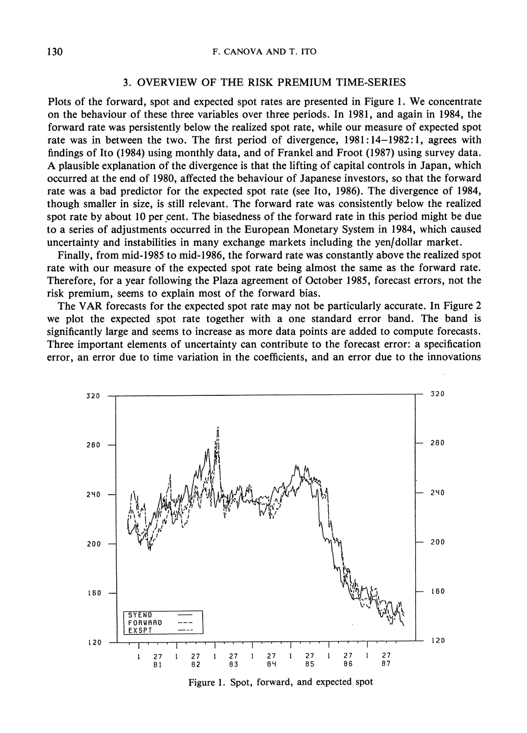## **3. OVERVIEW OF THE RISK PREMIUM TIME-SERIES**

**Plots of the forward, spot and expected spot rates are presented in Figure 1. We concentrate on the behaviour of these three variables over three periods. In 1981, and again in 1984, the forward rate was persistently below the realized spot rate, while our measure of expected spot rate was in between the two. The first period of divergence, 1981:14-1982:1, agrees with findings of Ito (1984) using monthly data, and of Frankel and Froot (1987) using survey data. A plausible explanation of the divergence is that the lifting of capital controls in Japan, which occurred at the end of 1980, affected the behaviour of Japanese investors, so that the forward rate was a bad predictor for the expected spot rate (see Ito, 1986). The divergence of 1984, though smaller in size, is still relevant. The forward rate was consistently below the realized spot rate by about 10 per cent. The biasedness of the forward rate in this period might be due to a series of adjustments occurred in the European Monetary System in 1984, which caused uncertainty and instabilities in many exchange markets including the yen/dollar market.** 

**Finally, from mid-1985 to mid-1986, the forward rate was constantly above the realized spot rate with our measure of the expected spot rate being almost the same as the forward rate. Therefore, for a year following the Plaza agreement of October 1985, forecast errors, not the risk premium, seems to explain most of the forward bias.** 

**The VAR forecasts for the expected spot rate may not be particularly accurate. In Figure 2 we plot the expected spot rate together with a one standard error band. The band is significantly large and seems to increase as more data points are added to compute forecasts. Three important elements of uncertainty can contribute to the forecast error: a specification error, an error due to time variation in the coefficients, and an error due to the innovations** 



**Figure 1. Spot, forward, and expected spot**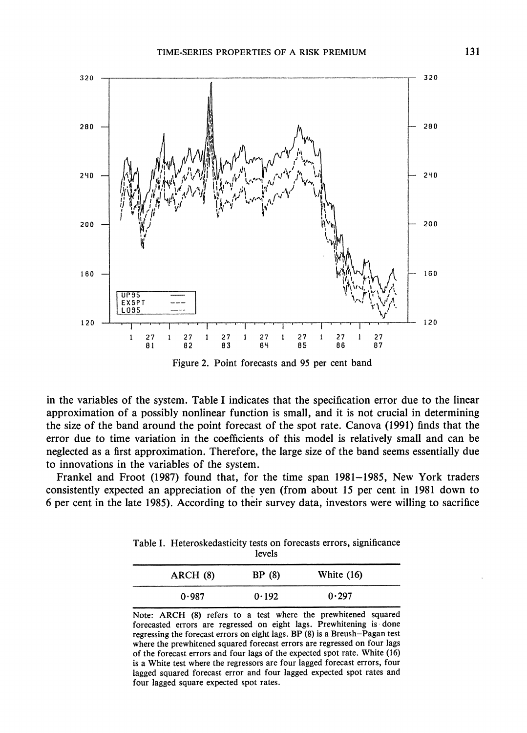

**Figure 2. Point forecasts and 95 per cent band** 

**in the variables of the system. Table I indicates that the specification error due to the linear approximation of a possibly nonlinear function is small, and it is not crucial in determining the size of the band around the point forecast of the spot rate. Canova (1991) finds that the error due to time variation in the coefficients of this model is relatively small and can be neglected as a first approximation. Therefore, the large size of the band seems essentially due to innovations in the variables of the system.** 

**Frankel and Froot (1987) found that, for the time span 1981-1985, New York traders consistently expected an appreciation of the yen (from about 15 per cent in 1981 down to 6 per cent in the late 1985). According to their survey data, investors were willing to sacrifice** 

**Table I. Heteroskedasticity tests on forecasts errors, significance levels** 

| ARCH(8) | BP(8) | White $(16)$ |  |
|---------|-------|--------------|--|
| 0.987   | 0.192 | 0.297        |  |

**Note: ARCH (8) refers to a test where the prewhitened squared forecasted errors are regressed on eight lags. Prewhitening is done regressing the forecast errors on eight lags. BP (8) is a Breush-Pagan test where the prewhitened squared forecast errors are regressed on four lags of the forecast errors and four lags of the expected spot rate. White (16) is a White test where the regressors are four lagged forecast errors, four lagged squared forecast error and four lagged expected spot rates and four lagged square expected spot rates.**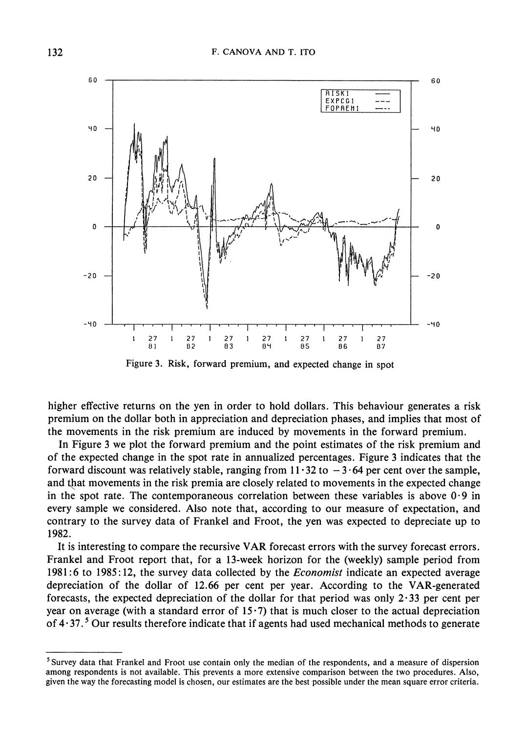

**Figure 3. Risk, forward premium, and expected change in spot** 

**higher effective returns on the yen in order to hold dollars. This behaviour generates a risk premium on the dollar both in appreciation and depreciation phases, and implies that most of the movements in the risk premium are induced by movements in the forward premium.** 

In Figure 3 we plot the forward premium and the point estimates of the risk premium and of the expected change in the spot rate in annualized percentages. Figure 3 indicates that the forward discount was relatively stable, ranging from  $11 \cdot 32$  to  $-3 \cdot 64$  per cent over the sample, **and that movements in the risk premia are closely related to movements in the expected change**  in the spot rate. The contemporaneous correlation between these variables is above  $0.9$  in **every sample we considered. Also note that, according to our measure of expectation, and contrary to the survey data of Frankel and Froot, the yen was expected to depreciate up to 1982.** 

**It is interesting to compare the recursive VAR forecast errors with the survey forecast errors. Frankel and Froot report that, for a 13-week horizon for the (weekly) sample period from 1981:6 to 1985:12, the survey data collected by the Economist indicate an expected average depreciation of the dollar of 12.66 per cent per year. According to the VAR-generated**  forecasts, the expected depreciation of the dollar for that period was only  $2 \cdot 33$  per cent per **year on average (with a standard error of 15-7) that is much closer to the actual depreciation of 4 . 37. 5 Our results therefore indicate that if agents had used mechanical methods to generate** 

**<sup>5</sup>Survey data that Frankel and Froot use contain only the median of the respondents, and a measure of dispersion among respondents is not available. This prevents a more extensive comparison between the two procedures. Also, given the way the forecasting model is chosen, our estimates are the best possible under the mean square error criteria.**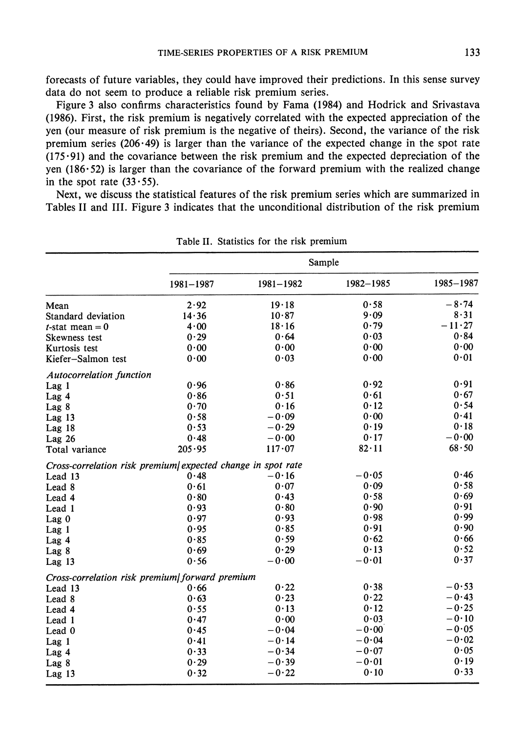**forecasts of future variables, they could have improved their predictions. In this sense survey data do not seem to produce a reliable risk premium series.** 

**Figure 3 also confirms characteristics found by Fama (1984) and Hodrick and Srivastava (1986). First, the risk premium is negatively correlated with the expected appreciation of the yen (our measure of risk premium is the negative of theirs). Second, the variance of the risk premium series (206-49) is larger than the variance of the expected change in the spot rate (175-91) and the covariance between the risk premium and the expected depreciation of the yen (186-52) is larger than the covariance of the forward premium with the realized change**  in the spot rate  $(33.55)$ .

Next, we discuss the statistical features of the risk premium series which are summarized in **Tables II and III. Figure 3 indicates that the unconditional distribution of the risk premium** 

|                                                             | Sample    |           |               |           |
|-------------------------------------------------------------|-----------|-----------|---------------|-----------|
|                                                             | 1981-1987 | 1981-1982 | 1982-1985     | 1985-1987 |
| Mean                                                        | 2.92      | 19.18     | 0.58          | $-8.74$   |
| Standard deviation                                          | 14.36     | 10.87     | 9.09          | 8.31      |
| <i>t</i> -stat mean $= 0$                                   | 4.00      | 18.16     | 0.79          | $-11.27$  |
| Skewness test                                               | 0.29      | 0.64      | 0.03          | 0.84      |
| Kurtosis test                                               | 0.00      | 0.00      | 0.00          | 0.00      |
| Kiefer-Salmon test                                          | 0.00      | 0.03      | 0.00          | 0.01      |
| Autocorrelation function                                    |           |           |               |           |
| Lag <sub>1</sub>                                            | 0.96      | 0.86      | 0.92          | 0.91      |
| Lag 4                                                       | 0.86      | 0.51      | 0.61          | 0.67      |
| Lag 8                                                       | 0.70      | 0.16      | 0.12          | 0.54      |
| Lag $13$                                                    | 0.58      | $-0.09$   | 0.00          | 0.41      |
| Lag 18                                                      | 0.53      | $-0.29$   | 0.19          | 0.18      |
| Lag <sub>26</sub>                                           | 0.48      | $-0.00$   | 0.17          | $-0.00$   |
| Total variance                                              | 205.95    | 117.07    | $82 \cdot 11$ | 68.50     |
| Cross-correlation risk premium expected change in spot rate |           |           |               |           |
| Lead 13                                                     | 0.48      | $-0.16$   | $-0.05$       | 0.46      |
| Lead 8                                                      | 0.61      | 0.07      | 0.09          | 0.58      |
| Lead 4                                                      | 0.80      | 0.43      | 0.58          | 0.69      |
| Lead 1                                                      | 0.93      | 0.80      | 0.90          | 0.91      |
| $Lag$ 0                                                     | 0.97      | 0.93      | 0.98          | 0.99      |
| Lag <sub>1</sub>                                            | 0.95      | 0.85      | 0.91          | 0.90      |
| Lag 4                                                       | 0.85      | 0.59      | 0.62          | 0.66      |
| Lag 8                                                       | 0.69      | 0.29      | 0.13          | 0.52      |
| Lag $13$                                                    | 0.56      | $-0.00$   | $-0.01$       | 0.37      |
| Cross-correlation risk premium  forward premium             |           |           |               |           |
| Lead 13                                                     | 0.66      | 0.22      | 0.38          | $-0.53$   |
| Lead 8                                                      | 0.63      | 0.23      | 0.22          | $-0.43$   |
| Lead 4                                                      | 0.55      | 0.13      | 0.12          | $-0.25$   |
| Lead 1                                                      | 0.47      | 0.00      | 0.03          | $-0.10$   |
| Lead 0                                                      | 0.45      | $-0.04$   | $-0.00$       | $-0.05$   |
| Lag <sub>1</sub>                                            | 0.41      | $-0.14$   | $-0.04$       | $-0.02$   |
| Lag <sub>4</sub>                                            | 0.33      | $-0.34$   | $-0.07$       | 0.05      |
| Lag <sub>8</sub>                                            | 0.29      | $-0.39$   | $-0.01$       | 0.19      |
| $Lag$ 13                                                    | 0.32      | $-0.22$   | 0.10          | 0.33      |

**Table II. Statistics for the risk premium**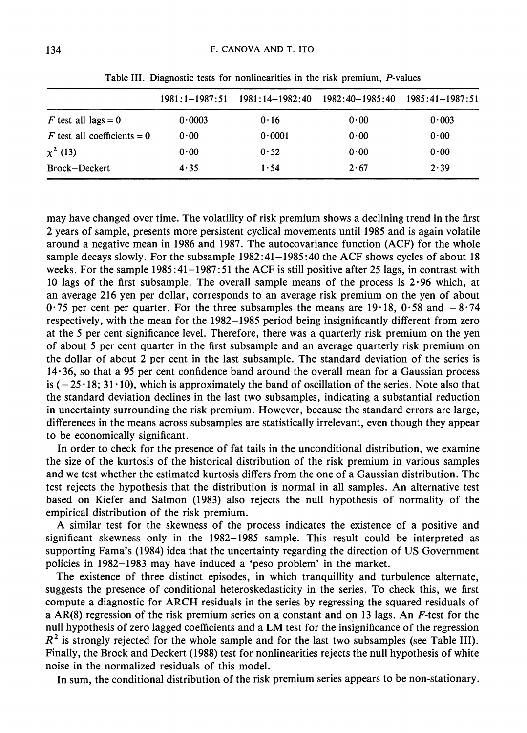|                             | $1981:1 - 1987:51$ |        | 1981:14-1982:40 1982:40-1985:40 | 1985:41-1987:51 |
|-----------------------------|--------------------|--------|---------------------------------|-----------------|
| F test all lags = 0         | 0.0003             | 0.16   | 0.00                            | 0.003           |
| F test all coefficients = 0 | 0.00               | 0.0001 | 0.00                            | 0.00            |
| $\chi^2$ (13)               | 0.00               | 0.52   | 0.00                            | 0.00            |
| Brock-Deckert               | 4.35               | 1.54   | 2.67                            | 2.39            |

**Table III. Diagnostic tests for nonlinearities in the risk premium, P-values** 

**may have changed over time. The volatility of risk premium shows a declining trend in the first 2 years of sample, presents more persistent cyclical movements until 1985 and is again volatile around a negative mean in 1986 and 1987. The autocovariance function (ACF) for the whole sample decays slowly. For the subsample 1982:41-1985:40 the ACF shows cycles of about 18 weeks. For the sample 1985:41-1987:51 the ACF is still positive after 25 lags, in contrast with 10 lags of the first subsample. The overall sample means of the process is 2-96 which, at an average 216 yen per dollar, corresponds to an average risk premium on the yen of about**  0.75 per cent per quarter. For the three subsamples the means are  $19.18$ , 0.58 and  $-8.74$ **respectively, with the mean for the 1982-1985 period being insignificantly different from zero at the 5 per cent significance level. Therefore, there was a quarterly risk premium on the yen of about 5 per cent quarter in the first subsample and an average quarterly risk premium on the dollar of about 2 per cent in the last subsample. The standard deviation of the series is 14-36, so that a 95 per cent confidence band around the overall mean for a Gaussian process**  is  $(-25 \cdot 18; 31 \cdot 10)$ , which is approximately the band of oscillation of the series. Note also that **the standard deviation declines in the last two subsamples, indicating a substantial reduction in uncertainty surrounding the risk premium. However, because the standard errors are large, differences in the means across subsamples are statistically irrelevant, even though they appear to be economically significant.** 

**In order to check for the presence of fat tails in the unconditional distribution, we examine the size of the kurtosis of the historical distribution of the risk premium in various samples and we test whether the estimated kurtosis differs from the one of a Gaussian distribution. The test rejects the hypothesis that the distribution is normal in all samples. An alternative test based on Kiefer and Salmon (1983) also rejects the null hypothesis of normality of the empirical distribution of the risk premium.** 

**A similar test for the skewness of the process indicates the existence of a positive and significant skewness only in the 1982-1985 sample. This result could be interpreted as supporting Fama's (1984) idea that the uncertainty regarding the direction of US Government policies in 1982-1983 may have induced a 'peso problem' in the market.** 

**The existence of three distinct episodes, in which tranquillity and turbulence alternate, suggests the presence of conditional heteroskedasticity in the series. To check this, we first compute a diagnostic for ARCH residuals in the series by regressing the squared residuals of a AR(8) regression of the risk premium series on a constant and on 13 lags. An F-test for the null hypothesis of zero lagged coefficients and a LM test for the insignificance of the regression**   $R^2$  is strongly rejected for the whole sample and for the last two subsamples (see Table III). **Finally, the Brock and Deckert (1988) test for nonlinearities rejects the null hypothesis of white noise in the normalized residuals of this model.** 

**In sum, the conditional distribution of the risk premium series appears to be non-stationary.**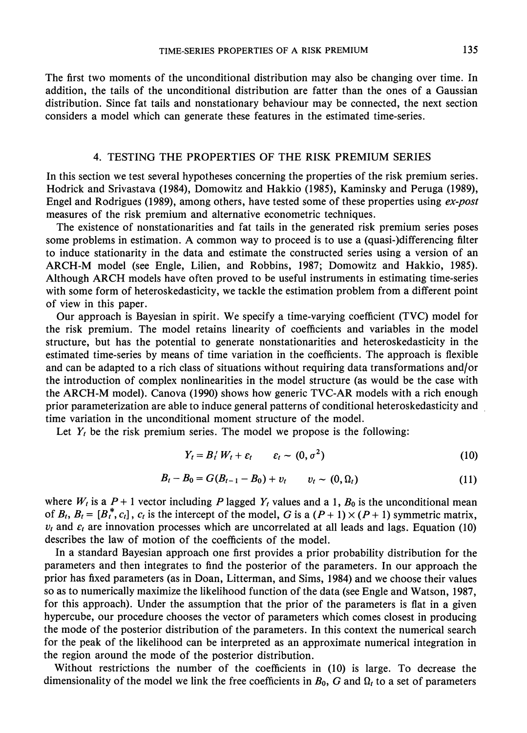**The first two moments of the unconditional distribution may also be changing over time. In addition, the tails of the unconditional distribution are fatter than the ones of a Gaussian distribution. Since fat tails and nonstationary behaviour may be connected, the next section considers a model which can generate these features in the estimated time-series.** 

#### **4. TESTING THE PROPERTIES OF THE RISK PREMIUM SERIES**

**In this section we test several hypotheses concerning the properties of the risk premium series. Hodrick and Srivastava (1984), Domowitz and Hakkio (1985), Kaminsky and Peruga (1989), Engel and Rodrigues (1989), among others, have tested some of these properties using ex-post measures of the risk premium and alternative econometric techniques.** 

**The existence of nonstationarities and fat tails in the generated risk premium series poses some problems in estimation. A common way to proceed is to use a (quasi-)differencing filter to induce stationarity in the data and estimate the constructed series using a version of an ARCH-M model (see Engle, Lilien, and Robbins, 1987; Domowitz and Hakkio, 1985). Although ARCH models have often proved to be useful instruments in estimating time-series with some form of heteroskedasticity, we tackle the estimation problem from a different point of view in this paper.** 

**Our approach is Bayesian in spirit. We specify a time-varying coefficient (TVC) model for the risk premium. The model retains linearity of coefficients and variables in the model structure, but has the potential to generate nonstationarities and heteroskedasticity in the estimated time-series by means of time variation in the coefficients. The approach is flexible and can be adapted to a rich class of situations without requiring data transformations and/or the introduction of complex nonlinearities in the model structure (as would be the case with the ARCH-M model). Canova (1990) shows how generic TVC-AR models with a rich enough prior parameterization are able to induce general patterns of conditional heteroskedasticity and time variation in the unconditional moment structure of the model.** 

Let  $Y_t$  be the risk premium series. The model we propose is the following:

$$
Y_t = B_t' W_t + \varepsilon_t \qquad \varepsilon_t \sim (0, \sigma^2) \tag{10}
$$

$$
B_t - B_0 = G(B_{t-1} - B_0) + v_t \qquad v_t \sim (0, \Omega_t)
$$
 (11)

where  $W_t$  is a  $P + 1$  vector including P lagged  $Y_t$  values and a 1,  $B_0$  is the unconditional mean of  $B_t$ ,  $B_t = [B_t^*, c_t]$ ,  $c_t$  is the intercept of the model, G is a  $(P + 1) \times (P + 1)$  symmetric matrix,  $v_t$  and  $\varepsilon_t$  are innovation processes which are uncorrelated at all leads and lags. Equation (10) **describes the law of motion of the coefficients of the model.** 

**In a standard Bayesian approach one first provides a prior probability distribution for the parameters and then integrates to find the posterior of the parameters. In our approach the prior has fixed parameters (as in Doan, Litterman, and Sims, 1984) and we choose their values so as to numerically maximize the likelihood function of the data (see Engle and Watson, 1987, for this approach). Under the assumption that the prior of the parameters is flat in a given hypercube, our procedure chooses the vector of parameters which comes closest in producing the mode of the posterior distribution of the parameters. In this context the numerical search for the peak of the likelihood can be interpreted as an approximate numerical integration in the region around the mode of the posterior distribution.** 

**Without restrictions the number of the coefficients in (10) is large. To decrease the**  dimensionality of the model we link the free coefficients in  $B_0$ , G and  $\Omega_t$  to a set of parameters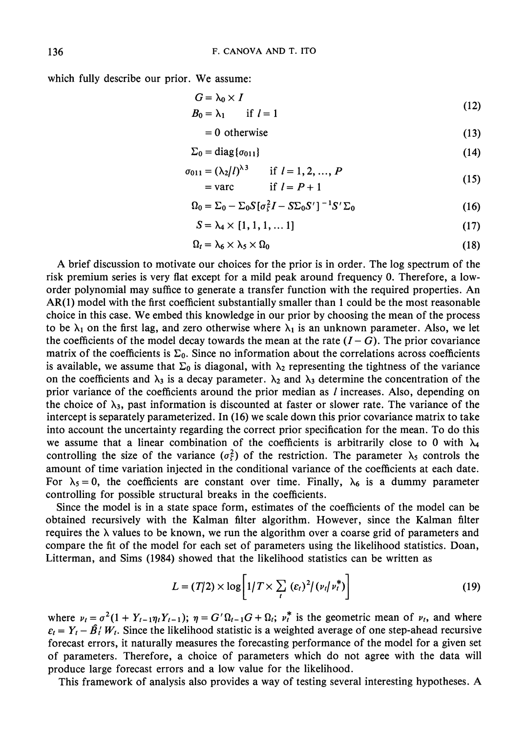**which fully describe our prior. We assume:** 

$$
G = \lambda_0 \times I \tag{12}
$$

$$
B_0 = \lambda_1 \qquad \text{if } l = 1 \tag{12}
$$

$$
= 0 \text{ otherwise} \tag{13}
$$

$$
\Sigma_0 = \text{diag}\left\{\sigma_{011}\right\} \tag{14}
$$

$$
\sigma_{011} = (\lambda_2/l)^{\lambda_3} \quad \text{if } l = 1, 2, ..., P \n= \text{var} \quad \text{if } l = P + 1
$$
\n(15)

$$
\Omega_0 = \Sigma_0 - \Sigma_0 S [\sigma_s^2 I - S \Sigma_0 S']^{-1} S' \Sigma_0
$$
\n(16)

$$
S = \lambda_4 \times [1, 1, 1, \dots 1] \tag{17}
$$

$$
\Omega_t = \lambda_6 \times \lambda_5 \times \Omega_0 \tag{18}
$$

**A brief discussion to motivate our choices for the prior is in order. The log spectrum of the risk premium series is very flat except for a mild peak around frequency 0. Therefore, a loworder polynomial may suffice to generate a transfer function with the required properties. An AR(1) model with the first coefficient substantially smaller than 1 could be the most reasonable choice in this case. We embed this knowledge in our prior by choosing the mean of the process**  to be  $\lambda_1$  on the first lag, and zero otherwise where  $\lambda_1$  is an unknown parameter. Also, we let the coefficients of the model decay towards the mean at the rate  $(I - G)$ . The prior covariance matrix of the coefficients is  $\Sigma_0$ . Since no information about the correlations across coefficients is available, we assume that  $\Sigma_0$  is diagonal, with  $\lambda_2$  representing the tightness of the variance on the coefficients and  $\lambda_3$  is a decay parameter.  $\lambda_2$  and  $\lambda_3$  determine the concentration of the **prior variance of the coefficients around the prior median as I increases. Also, depending on**  the choice of  $\lambda_3$ , past information is discounted at faster or slower rate. The variance of the **intercept is separately parameterized. In (16) we scale down this prior covariance matrix to take into account the uncertainty regarding the correct prior specification for the mean. To do this**  we assume that a linear combination of the coefficients is arbitrarily close to 0 with  $\lambda_4$ controlling the size of the variance  $(\sigma_{\xi}^2)$  of the restriction. The parameter  $\lambda_5$  controls the **amount of time variation injected in the conditional variance of the coefficients at each date.**  For  $\lambda_5 = 0$ , the coefficients are constant over time. Finally,  $\lambda_6$  is a dummy parameter **controlling for possible structural breaks in the coefficients.** 

**Since the model is in a state space form, estimates of the coefficients of the model can be obtained recursively with the Kalman filter algorithm. However, since the Kalman filter**  requires the  $\lambda$  values to be known, we run the algorithm over a coarse grid of parameters and **compare the fit of the model for each set of parameters using the likelihood statistics. Doan, Litterman, and Sims (1984) showed that the likelihood statistics can be written as** 

$$
L = (T/2) \times \log \left[ 1/T \times \sum_{t} \left( \varepsilon_{t} \right)^{2} / \left( \nu_{t} / \nu_{t}^{*} \right) \right]
$$
 (19)

where  $v_t = \sigma^2(1 + Y_{t-1}\eta_tY_{t-1})$ ;  $\eta = G'\Omega_{t-1}G + \Omega_t$ ;  $v_t^*$  is the geometric mean of  $v_t$ , and where  $\varepsilon_t = Y_t - \hat{B}_t' W_t$ . Since the likelihood statistic is a weighted average of one step-ahead recursive **forecast errors, it naturally measures the forecasting performance of the model for a given set of parameters. Therefore, a choice of parameters which do not agree with the data will produce large forecast errors and a low value for the likelihood.** 

**This framework of analysis also provides a way of testing several interesting hypotheses. A**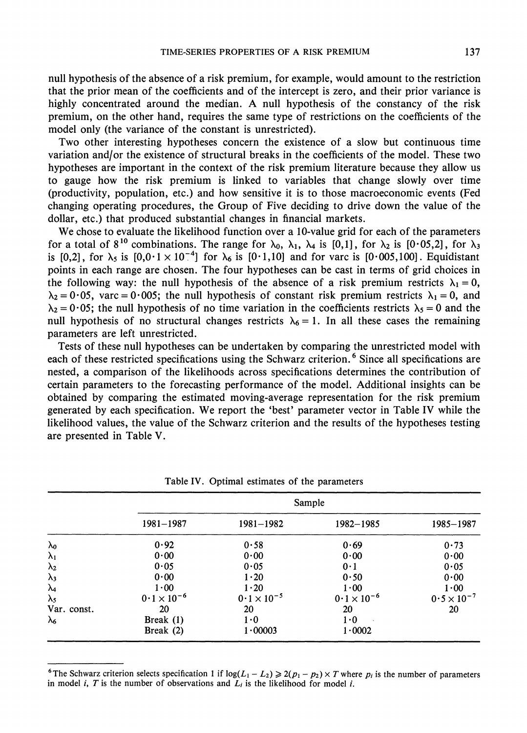**null hypothesis of the absence of a risk premium, for example, would amount to the restriction that the prior mean of the coefficients and of the intercept is zero, and their prior variance is highly concentrated around the median. A null hypothesis of the constancy of the risk premium, on the other hand, requires the same type of restrictions on the coefficients of the model only (the variance of the constant is unrestricted).** 

**Two other interesting hypotheses concern the existence of a slow but continuous time variation and/or the existence of structural breaks in the coefficients of the model. These two hypotheses are important in the context of the risk premium literature because they allow us to gauge how the risk premium is linked to variables that change slowly over time (productivity, population, etc.) and how sensitive it is to those macroeconomic events (Fed changing operating procedures, the Group of Five deciding to drive down the value of the dollar, etc.) that produced substantial changes in financial markets.** 

**We chose to evaluate the likelihood function over a 10-value grid for each of the parameters**  for a total of  $8^{10}$  combinations. The range for  $\lambda_0$ ,  $\lambda_1$ ,  $\lambda_4$  is [0,1], for  $\lambda_2$  is [0.05,2], for  $\lambda_3$ is [0,2], for  $\lambda_5$  is  $[0,0.1 \times 10^{-4}]$  for  $\lambda_6$  is  $[0.1,10]$  and for varc is  $[0.005,100]$ . Equidistant **points in each range are chosen. The four hypotheses can be cast in terms of grid choices in**  the following way: the null hypothesis of the absence of a risk premium restricts  $\lambda_1 = 0$ ,  $\lambda_2 = 0.05$ , varc = 0.005; the null hypothesis of constant risk premium restricts  $\lambda_1 = 0$ , and  $\lambda_2 = 0.05$ ; the null hypothesis of no time variation in the coefficients restricts  $\lambda_5 = 0$  and the null hypothesis of no structural changes restricts  $\lambda_6 = 1$ . In all these cases the remaining **parameters are left unrestricted.** 

**Tests of these null hypotheses can be undertaken by comparing the unrestricted model with each of these restricted specifications using the Schwarz criterion.6 Since all specifications are nested, a comparison of the likelihoods across specifications determines the contribution of certain parameters to the forecasting performance of the model. Additional insights can be obtained by comparing the estimated moving-average representation for the risk premium generated by each specification. We report the 'best' parameter vector in Table IV while the likelihood values, the value of the Schwarz criterion and the results of the hypotheses testing are presented in Table V.** 

|               | Sample               |                      |                      |                      |
|---------------|----------------------|----------------------|----------------------|----------------------|
|               | 1981-1987            | 1981-1982            | 1982-1985            | 1985-1987            |
| $\lambda_0$   | 0.92                 | 0.58                 | 0.69                 | 0.73                 |
| $\lambda_1$   | 0.00                 | 0.00                 | 0.00                 | 0.00                 |
| $\lambda_2$   | 0.05                 | 0.05                 | 0.1                  | 0.05                 |
| $\lambda_3$   | 0.00                 | 1.20                 | 0.50                 | 0.00                 |
| $\lambda_4$   | 1.00                 | 1.20                 | 1.00                 | 1.00                 |
| $\lambda_{5}$ | $0.1 \times 10^{-6}$ | $0.1 \times 10^{-5}$ | $0.1 \times 10^{-6}$ | $0.5 \times 10^{-7}$ |
| Var. const.   | 20                   | 20                   | 20                   | 20                   |
| $\lambda_6$   | Break $(1)$          | 1.0                  | 1.0                  |                      |
|               | Break (2)            | 1.00003              | 1.0002               |                      |

**Table IV. Optimal estimates of the parameters** 

**6** The Schwarz criterion selects specification 1 if  $\log(L_1 - L_2) \geqslant 2(p_1 - p_2) \times T$  where  $p_i$  is the number of parameters in model *i*, *T* is the number of observations and  $L_i$  is the likelihood for model *i*.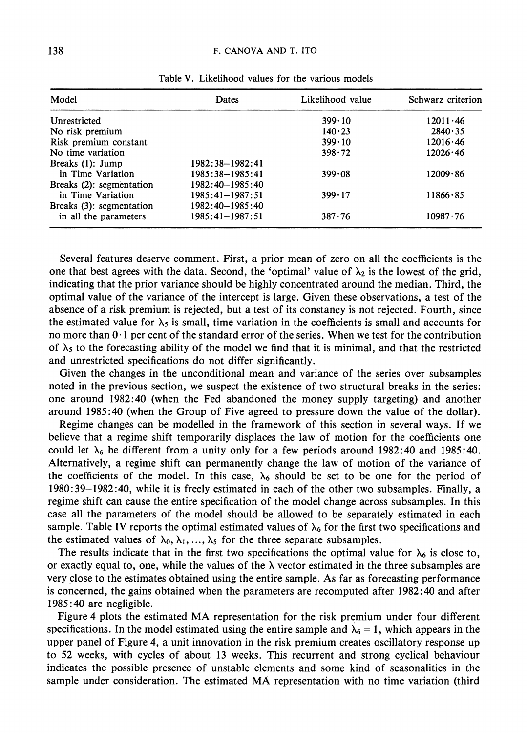| Model                    | Dates               | Likelihood value | Schwarz criterion |
|--------------------------|---------------------|------------------|-------------------|
| Unrestricted             |                     | $399 \cdot 10$   | $12011 \cdot 46$  |
| No risk premium          |                     | 140.23           | 2840.35           |
| Risk premium constant    |                     | $399 \cdot 10$   | $12016 \cdot 46$  |
| No time variation        |                     | 398.72           | $12026 \cdot 46$  |
| Breaks (1): Jump         | 1982:38-1982:41     |                  |                   |
| in Time Variation        | $1985:38 - 1985:41$ | 399.08           | 12009.86          |
| Breaks (2): segmentation | 1982:40-1985:40     |                  |                   |
| in Time Variation        | 1985:41-1987:51     | 399.17           | 11866.85          |
| Breaks (3): segmentation | 1982:40-1985:40     |                  |                   |
| in all the parameters    | 1985:41-1987:51     | 387.76           | $10987 \cdot 76$  |

**Table V. Likelihood values for the various models** 

**Several features deserve comment. First, a prior mean of zero on all the coefficients is the**  one that best agrees with the data. Second, the 'optimal' value of  $\lambda_2$  is the lowest of the grid, **indicating that the prior variance should be highly concentrated around the median. Third, the optimal value of the variance of the intercept is large. Given these observations, a test of the absence of a risk premium is rejected, but a test of its constancy is not rejected. Fourth, since**  the estimated value for  $\lambda_5$  is small, time variation in the coefficients is small and accounts for **no more than 0- 1 per cent of the standard error of the series. When we test for the contribution**  of  $\lambda_5$  to the forecasting ability of the model we find that it is minimal, and that the restricted **and unrestricted specifications do not differ significantly.** 

**Given the changes in the unconditional mean and variance of the series over subsamples noted in the previous section, we suspect the existence of two structural breaks in the series: one around 1982:40 (when the Fed abandoned the money supply targeting) and another around 1985:40 (when the Group of Five agreed to pressure down the value of the dollar).** 

**Regime changes can be modelled in the framework of this section in several ways. If we believe that a regime shift temporarily displaces the law of motion for the coefficients one**  could let  $\lambda_6$  be different from a unity only for a few periods around 1982:40 and 1985:40. **Alternatively, a regime shift can permanently change the law of motion of the variance of**  the coefficients of the model. In this case,  $\lambda_6$  should be set to be one for the period of **1980:39-1982:40, while it is freely estimated in each of the other two subsamples. Finally, a regime shift can cause the entire specification of the model change across subsamples. In this case all the parameters of the model should be allowed to be separately estimated in each**  sample. Table IV reports the optimal estimated values of  $\lambda_6$  for the first two specifications and the estimated values of  $\lambda_0, \lambda_1, \ldots, \lambda_5$  for the three separate subsamples.

The results indicate that in the first two specifications the optimal value for  $\lambda_6$  is close to, or exactly equal to, one, while the values of the  $\lambda$  vector estimated in the three subsamples are **very close to the estimates obtained using the entire sample. As far as forecasting performance is concerned, the gains obtained when the parameters are recomputed after 1982:40 and after 1985:40 are negligible.** 

**Figure 4 plots the estimated MA representation for the risk premium under four different**  specifications. In the model estimated using the entire sample and  $\lambda_6 = 1$ , which appears in the **upper panel of Figure 4, a unit innovation in the risk premium creates oscillatory response up to 52 weeks, with cycles of about 13 weeks. This recurrent and strong cyclical behaviour indicates the possible presence of unstable elements and some kind of seasonalities in the sample under consideration. The estimated MA representation with no time variation (third**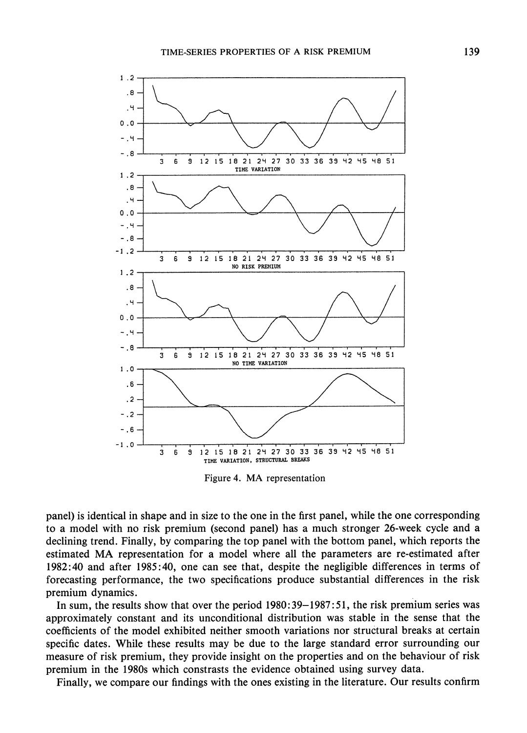

**Figure 4. MA representation** 

**panel) is identical in shape and in size to the one in the first panel, while the one corresponding to a model with no risk premium (second panel) has a much stronger 26-week cycle and a declining trend. Finally, by comparing the top panel with the bottom panel, which reports the estimated MA representation for a model where all the parameters are re-estimated after 1982:40 and after 1985:40, one can see that, despite the negligible differences in terms of forecasting performance, the two specifications produce substantial differences in the risk premium dynamics.** 

**In sum, the results show that over the period 1980:39-1987:51, the risk premium series was approximately constant and its unconditional distribution was stable in the sense that the coefficients of the model exhibited neither smooth variations nor structural breaks at certain specific dates. While these results may be due to the large standard error surrounding our measure of risk premium, they provide insight on the properties and on the behaviour of risk premium in the 1980s which constrasts the evidence obtained using survey data.** 

**Finally, we compare our findings with the ones existing in the literature. Our results confirm**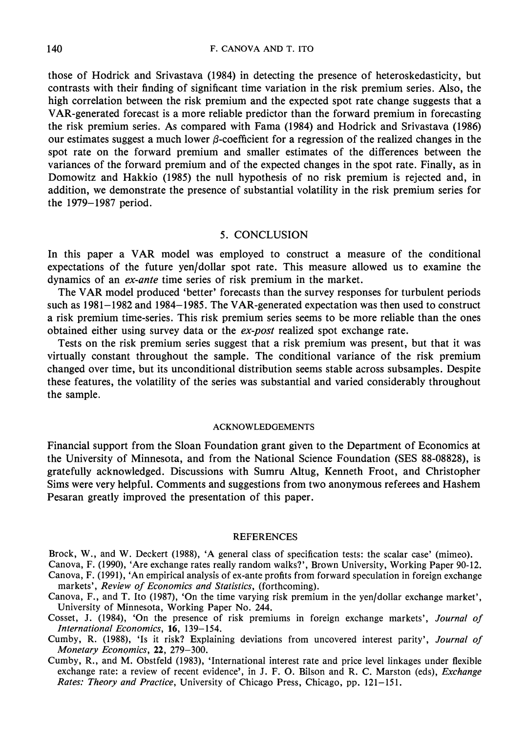**F. CANOVA AND T. ITO** 

**those of Hodrick and Srivastava (1984) in detecting the presence of heteroskedasticity, but contrasts with their finding of significant time variation in the risk premium series. Also, the high correlation between the risk premium and the expected spot rate change suggests that a VAR-generated forecast is a more reliable predictor than the forward premium in forecasting the risk premium series. As compared with Fama (1984) and Hodrick and Srivastava (1986)**  our estimates suggest a much lower  $\beta$ -coefficient for a regression of the realized changes in the **spot rate on the forward premium and smaller estimates of the differences between the variances of the forward premium and of the expected changes in the spot rate. Finally, as in Domowitz and Hakkio (1985) the null hypothesis of no risk premium is rejected and, in addition, we demonstrate the presence of substantial volatility in the risk premium series for the 1979-1987 period.** 

# **5. CONCLUSION**

**In this paper a VAR model was employed to construct a measure of the conditional expectations of the future yen/dollar spot rate. This measure allowed us to examine the dynamics of an ex-ante time series of risk premium in the market.** 

**The VAR model produced 'better' forecasts than the survey responses for turbulent periods such as 1981-1982 and 1984-1985. The VAR-generated expectation was then used to construct a risk premium time-series. This risk premium series seems to be more reliable than the ones obtained either using survey data or the ex-post realized spot exchange rate.** 

**Tests on the risk premium series suggest that a risk premium was present, but that it was virtually constant throughout the sample. The conditional variance of the risk premium changed over time, but its unconditional distribution seems stable across subsamples. Despite these features, the volatility of the series was substantial and varied considerably throughout the sample.** 

### **ACKNOWLEDGEMENTS**

**Financial support from the Sloan Foundation grant given to the Department of Economics at the University of Minnesota, and from the National Science Foundation (SES 88-08828), is gratefully acknowledged. Discussions with Sumru Altug, Kenneth Froot, and Christopher Sims were very helpful. Comments and suggestions from two anonymous referees and Hashem Pesaran greatly improved the presentation of this paper.** 

#### **REFERENCES**

**Brock, W., and W. Deckert (1988), 'A general class of specification tests: the scalar case' (mimeo).** 

**Canova, F. (1990), 'Are exchange rates really random walks?', Brown University, Working Paper 90-12. Canova, F. (1991), 'An empirical analysis of ex-ante profits from forward speculation in foreign exchange** 

- **markets', Review of Economics and Statistics, (forthcoming). Canova, F., and T. Ito (1987), 'On the time varying risk premium in the yen/dollar exchange market',**
- **University of Minnesota, Working Paper No. 244.**

**Cosset, J. (1984), 'On the presence of risk premiums in foreign exchange markets', Journal of International Economics, 16, 139-154.** 

- **Cumby, R. (1988), 'Is it risk? Explaining deviations from uncovered interest parity', Journal of Monetary Economics, 22, 279-300.**
- **Cumby, R., and M. Obstfeld (1983), 'International interest rate and price level linkages under flexible exchange rate: a review of recent evidence', in J. F. 0. Bilson and R. C. Marston (eds), Exchange Rates: Theory and Practice, University of Chicago Press, Chicago, pp. 121-151.**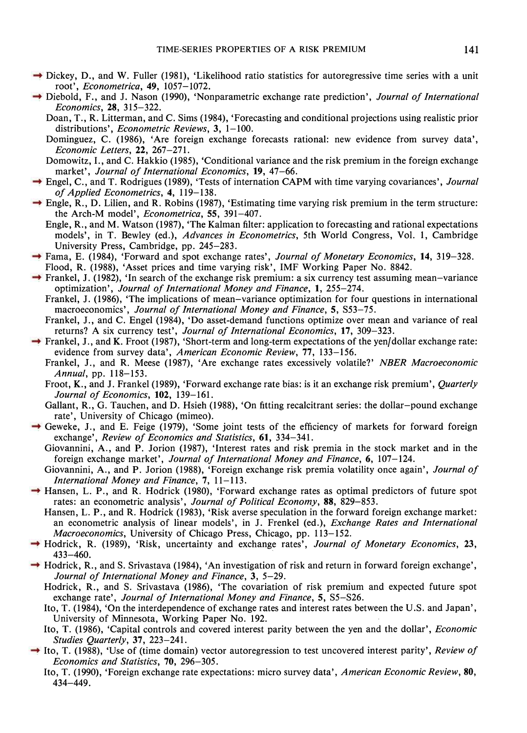- → Dickey, D., and W. Fuller (1981), 'Likelihood ratio statistics for autoregressive time series with a unit **root', Econometrica, 49, 1057-1072.**
- **Diebold, F., and J. Nason (1990), 'Nonparametric exchange rate prediction', Journal of International Economics, 28, 315-322.** 
	- **Doan, T., R. Litterman, and C. Sims (1984), 'Forecasting and conditional projections using realistic prior distributions', Econometric Reviews, 3, 1-100.**
	- **Dominguez, C. (1986), 'Are foreign exchange forecasts rational: new evidence from survey data', Economic Letters, 22, 267-271.**
	- **Domowitz, I., and C. Hakkio (1985), 'Conditional variance and the risk premium in the foreign exchange market', Journal of International Economics, 19, 47-66.**
- $\rightarrow$  **Engel, C., and T. Rodrigues (1989), 'Tests of internation CAPM with time varying covariances',** *Journal* **of Applied Econometrics, 4, 119-138.**
- **Engle, R., D. Lilien, and R. Robins (1987), 'Estimating time varying risk premium in the term structure: the Arch-M model', Econometrica, 55, 391-407.** 
	- **Engle, R., and M. Watson (1987), 'The Kalman filter: application to forecasting and rational expectations models', in T. Bewley (ed.), Advances in Econometrics, 5th World Congress, Vol. 1, Cambridge University Press, Cambridge, pp. 245-283.**
- → Fama, E. (1984), 'Forward and spot exchange rates', *Journal of Monetary Economics*, 14, 319–328. **Flood, R. (1988), 'Asset prices and time varying risk', IMF Working Paper No. 8842.**
- **Frankel, J. (1982), 'In search of the exchange risk premium: a six currency test assuming mean-variance optimization', Journal of International Money and Finance, 1, 255-274.** 
	- **Frankel, J. (1986), 'The implications of mean-variance optimization for four questions in international macroeconomics', Journal of International Money and Finance, 5, S53-75.**
	- **Frankel, J., and C. Engel (1984), 'Do asset-demand functions optimize over mean and variance of real returns? A six currency test', Journal of International Economics, 17, 309-323.**
- **Frankel, J., and K. Froot (1987), 'Short-term and long-term expectations of the yen/dollar exchange rate: evidence from survey data', American Economic Review, 77, 133-156.** 
	- **Frankel, J., and R. Meese (1987), 'Are exchange rates excessively volatile?' NBER Macroeconomic Annual, pp. 118-153.**
	- **Froot, K., and J. Frankel (1989), 'Forward exchange rate bias: is it an exchange risk premium', Quarterly Journal of Economics, 102, 139-161.**
	- **Gallant, R., G. Tauchen, and D. Hsieh (1988), 'On fitting recalcitrant series: the dollar-pound exchange rate', University of Chicago (mimeo).**
- Geweke, J., and E. Feige (1979), 'Some joint tests of the efficiency of markets for forward foreign **exchange', Review of Economics and Statistics, 61, 334-341.** 
	- **Giovannini, A., and P. Jorion (1987), 'Interest rates and risk premia in the stock market and in the foreign exchange market', Journal of International Money and Finance, 6, 107-124.**
	- **Giovannini, A., and P. Jorion (1988), 'Foreign exchange risk premia volatility once again', Journal of International Money and Finance, 7, 11-113.**
- → Hansen, L. P., and R. Hodrick (1980), 'Forward exchange rates as optimal predictors of future spot **rates: an econometric analysis', Journal of Political Economy, 88, 829-853.**
- **Hansen, L. P., and R. Hodrick (1983), 'Risk averse speculation in the forward foreign exchange market: an econometric analysis of linear models', in J. Frenkel (ed.), Exchange Rates and International Macroeconomics, University of Chicago Press, Chicago, pp. 113-152.**
- → Hodrick, R. (1989), 'Risk, uncertainty and exchange rates', *Journal of Monetary Economics*, 23, **433-460.**
- → Hodrick, R., and S. Srivastava (1984), 'An investigation of risk and return in forward foreign exchange', **Journal of International Money and Finance, 3, 5-29.** 
	- **Hodrick, R., and S. Srivastava (1986), 'The covariation of risk premium and expected future spot exchange rate', Journal of International Money and Finance, 5, S5-S26.**
	- **Ito, T. (1984), 'On the interdependence of exchange rates and interest rates between the U.S. and Japan', University of Minnesota, Working Paper No. 192.**
	- **Ito, T. (1986), 'Capital controls and covered interest parity between the yen and the dollar', Economic Studies Quarterly, 37, 223-241.**
- **Ito, T. (1988), 'Use of (time domain) vector autoregression to test uncovered interest parity', Review of Economics and Statistics, 70, 296-305.** 
	- **Ito, T. (1990), 'Foreign exchange rate expectations: micro survey data', American Economic Review, 80, 434-449.**